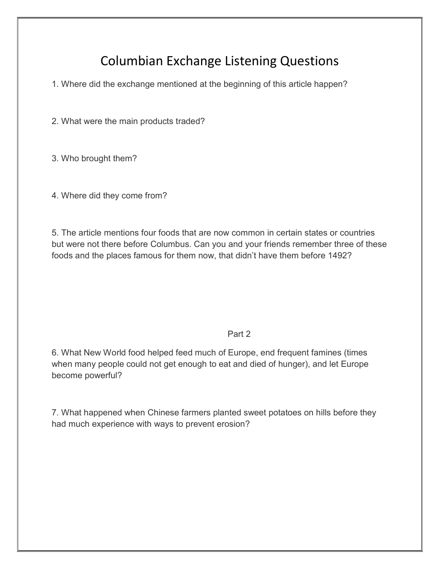# Columbian Exchange Listening Questions

1. Where did the exchange mentioned at the beginning of this article happen?

2. What were the main products traded?

3. Who brought them?

4. Where did they come from?

5. The article mentions four foods that are now common in certain states or countries but were not there before Columbus. Can you and your friends remember three of these foods and the places famous for them now, that didn't have them before 1492?

Part 2

6. What New World food helped feed much of Europe, end frequent famines (times when many people could not get enough to eat and died of hunger), and let Europe become powerful?

7. What happened when Chinese farmers planted sweet potatoes on hills before they had much experience with ways to prevent erosion?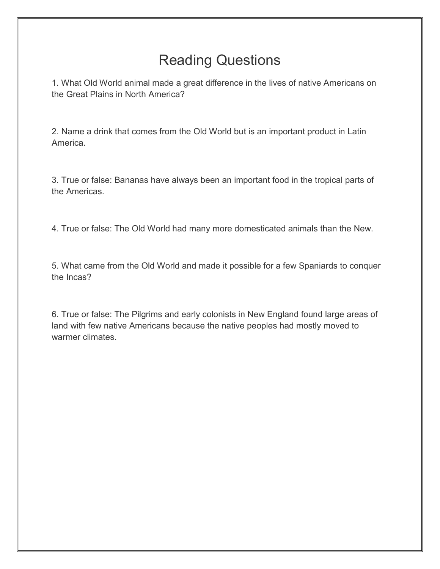# Reading Questions

1. What Old World animal made a great difference in the lives of native Americans on the Great Plains in North America?

2. Name a drink that comes from the Old World but is an important product in Latin America.

3. True or false: Bananas have always been an important food in the tropical parts of the Americas.

4. True or false: The Old World had many more domesticated animals than the New.

5. What came from the Old World and made it possible for a few Spaniards to conquer the Incas?

6. True or false: The Pilgrims and early colonists in New England found large areas of land with few native Americans because the native peoples had mostly moved to warmer climates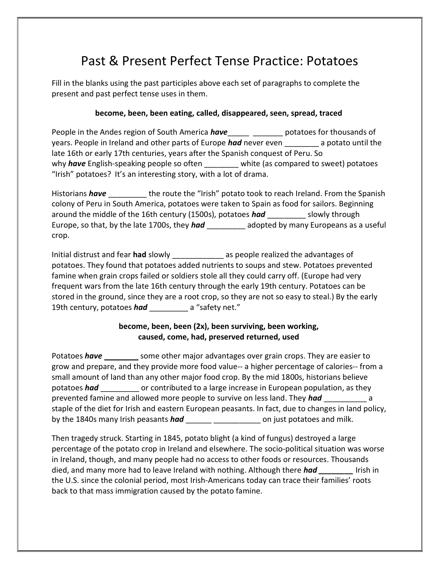## Past & Present Perfect Tense Practice: Potatoes

Fill in the blanks using the past participles above each set of paragraphs to complete the present and past perfect tense uses in them.

## **become, been, been eating, called, disappeared, seen, spread, traced**

People in the Andes region of South America *have*\_\_\_\_\_ \_\_\_\_\_\_\_ potatoes for thousands of years. People in Ireland and other parts of Europe *had* never even \_\_\_\_\_\_\_\_ a potato until the late 16th or early 17th centuries, years after the Spanish conquest of Peru. So why **have** English-speaking people so often white (as compared to sweet) potatoes "Irish" potatoes? It's an interesting story, with a lot of drama.

Historians *have* \_\_\_\_\_\_\_\_\_ the route the "Irish" potato took to reach Ireland. From the Spanish colony of Peru in South America, potatoes were taken to Spain as food for sailors. Beginning around the middle of the 16th century (1500s), potatoes **had** slowly through Europe, so that, by the late 1700s, they *had* \_\_\_\_\_\_\_\_\_ adopted by many Europeans as a useful crop.

Initial distrust and fear **had** slowly \_\_\_\_\_\_\_\_\_\_\_\_ as people realized the advantages of potatoes. They found that potatoes added nutrients to soups and stew. Potatoes prevented famine when grain crops failed or soldiers stole all they could carry off. (Europe had very frequent wars from the late 16th century through the early 19th century. Potatoes can be stored in the ground, since they are a root crop, so they are not so easy to steal.) By the early 19th century, potatoes *had* \_\_\_\_\_\_\_\_\_ a "safety net."

## **become, been, been (2x), been surviving, been working, caused, come, had, preserved returned, used**

Potatoes *have* some other major advantages over grain crops. They are easier to grow and prepare, and they provide more food value-- a higher percentage of calories-- from a small amount of land than any other major food crop. By the mid 1800s, historians believe potatoes *had* \_\_\_\_\_\_\_\_\_ or contributed to a large increase in European population, as they prevented famine and allowed more people to survive on less land. They *had* \_\_\_\_\_\_\_\_\_\_ a staple of the diet for Irish and eastern European peasants. In fact, due to changes in land policy, by the 1840s many Irish peasants *had* \_\_\_\_\_\_ \_\_\_\_\_\_\_\_\_\_\_ on just potatoes and milk.

Then tragedy struck. Starting in 1845, potato blight (a kind of fungus) destroyed a large percentage of the potato crop in Ireland and elsewhere. The socio-political situation was worse in Ireland, though, and many people had no access to other foods or resources. Thousands died, and many more had to leave Ireland with nothing. Although there **had Interact in** Irish in the U.S. since the colonial period, most Irish-Americans today can trace their families' roots back to that mass immigration caused by the potato famine.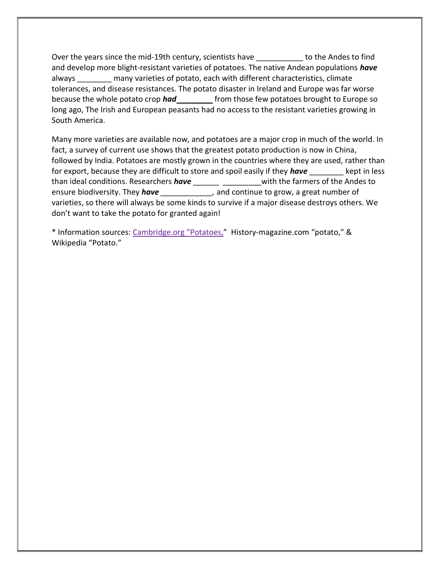Over the years since the mid-19th century, scientists have the the Andes to find and develop more blight-resistant varieties of potatoes. The native Andean populations *have*  always \_\_\_\_\_\_\_\_ many varieties of potato, each with different characteristics, climate tolerances, and disease resistances. The potato disaster in Ireland and Europe was far worse because the whole potato crop *had* \_\_\_\_\_\_\_\_ from those few potatoes brought to Europe so long ago, The Irish and European peasants had no access to the resistant varieties growing in South America.

Many more varieties are available now, and potatoes are a major crop in much of the world. In fact, a survey of current use shows that the greatest potato production is now in China, followed by India. Potatoes are mostly grown in the countries where they are used, rather than for export, because they are difficult to store and spoil easily if they **have** kept in less than ideal conditions. Researchers *have* \_\_\_\_\_\_ \_\_\_\_\_\_\_\_\_with the farmers of the Andes to ensure biodiversity. They *have \_\_\_\_\_\_\_\_\_\_\_\_,* and continue to grow, a great number of varieties, so there will always be some kinds to survive if a major disease destroys others. We don't want to take the potato for granted again!

\* Information sources: Cambridge.org "Potatoes," History-magazine.com "potato," & Wikipedia "Potato."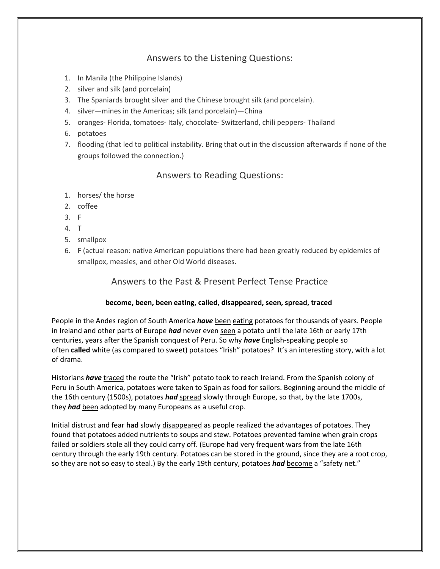## Answers to the Listening Questions:

- 1. In Manila (the Philippine Islands)
- 2. silver and silk (and porcelain)
- 3. The Spaniards brought silver and the Chinese brought silk (and porcelain).
- 4. silver—mines in the Americas; silk (and porcelain)—China
- 5. oranges- Florida, tomatoes- Italy, chocolate- Switzerland, chili peppers- Thailand
- 6. potatoes
- 7. flooding (that led to political instability. Bring that out in the discussion afterwards if none of the groups followed the connection.)

## Answers to Reading Questions:

- 1. horses/ the horse
- 2. coffee
- 3. F
- 4. T
- 5. smallpox
- 6. F (actual reason: native American populations there had been greatly reduced by epidemics of smallpox, measles, and other Old World diseases.

## Answers to the Past & Present Perfect Tense Practice

### **become, been, been eating, called, disappeared, seen, spread, traced**

People in the Andes region of South America *have* been eating potatoes for thousands of years. People in Ireland and other parts of Europe *had* never even seen a potato until the late 16th or early 17th centuries, years after the Spanish conquest of Peru. So why *have* English-speaking people so often **called** white (as compared to sweet) potatoes "Irish" potatoes? It's an interesting story, with a lot of drama.

Historians *have* traced the route the "Irish" potato took to reach Ireland. From the Spanish colony of Peru in South America, potatoes were taken to Spain as food for sailors. Beginning around the middle of the 16th century (1500s), potatoes *had* spread slowly through Europe, so that, by the late 1700s, they *had* been adopted by many Europeans as a useful crop.

Initial distrust and fear **had** slowly disappeared as people realized the advantages of potatoes. They found that potatoes added nutrients to soups and stew. Potatoes prevented famine when grain crops failed or soldiers stole all they could carry off. (Europe had very frequent wars from the late 16th century through the early 19th century. Potatoes can be stored in the ground, since they are a root crop, so they are not so easy to steal.) By the early 19th century, potatoes *had* become a "safety net."